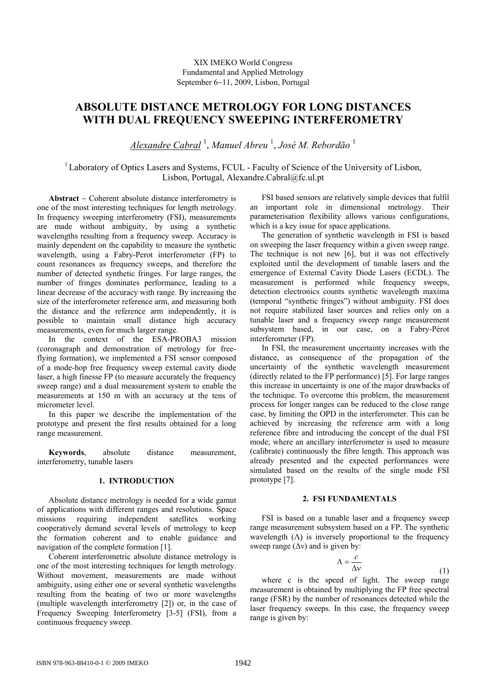# **ABSOLUTE DISTANCE METROLOGY FOR LONG DISTANCES WITH DUAL FREQUENCY SWEEPING INTERFEROMETRY**

*Alexandre Cabral* <sup>1</sup> , *Manuel Abreu* <sup>1</sup> , *José M. Rebordão* <sup>1</sup>

<sup>1</sup> Laboratory of Optics Lasers and Systems, FCUL - Faculty of Science of the University of Lisbon, Lisbon, Portugal, Alexandre.Cabral@fc.ul.pt

**Abstract** − Coherent absolute distance interferometry is one of the most interesting techniques for length metrology. In frequency sweeping interferometry (FSI), measurements are made without ambiguity, by using a synthetic wavelengths resulting from a frequency sweep. Accuracy is mainly dependent on the capability to measure the synthetic wavelength, using a Fabry-Perot interferometer (FP) to count resonances as frequency sweeps, and therefore the number of detected synthetic fringes. For large ranges, the number of fringes dominates performance, leading to a linear decrease of the accuracy with range. By increasing the size of the interferometer reference arm, and measuring both the distance and the reference arm independently, it is possible to maintain small distance high accuracy measurements, even for much larger range.

In the context of the ESA-PROBA3 mission (coronagraph and demonstration of metrology for freeflying formation), we implemented a FSI sensor composed of a mode-hop free frequency sweep external cavity diode laser, a high finesse FP (to measure accurately the frequency sweep range) and a dual measurement system to enable the measurements at 150 m with an accuracy at the tens of micrometer level.

In this paper we describe the implementation of the prototype and present the first results obtained for a long range measurement.

**Keywords**, absolute distance measurement, interferometry, tunable lasers

## **1. INTRODUCTION**

Absolute distance metrology is needed for a wide gamut of applications with different ranges and resolutions. Space missions requiring independent satellites working cooperatively demand several levels of metrology to keep the formation coherent and to enable guidance and navigation of the complete formation [1].

Coherent interferometric absolute distance metrology is one of the most interesting techniques for length metrology. Without movement, measurements are made without ambiguity, using either one or several synthetic wavelengths resulting from the beating of two or more wavelengths (multiple wavelength interferometry [2]) or, in the case of Frequency Sweeping Interferometry [3-5] (FSI), from a continuous frequency sweep.

FSI based sensors are relatively simple devices that fulfil an important role in dimensional metrology. Their parameterisation flexibility allows various configurations, which is a key issue for space applications.

The generation of synthetic wavelength in FSI is based on sweeping the laser frequency within a given sweep range. The technique is not new [6], but it was not effectively exploited until the development of tunable lasers and the emergence of External Cavity Diode Lasers (ECDL). The measurement is performed while frequency sweeps, detection electronics counts synthetic wavelength maxima (temporal "synthetic fringes") without ambiguity. FSI does not require stabilized laser sources and relies only on a tunable laser and a frequency sweep range measurement subsystem based, in our case, on a Fabry-Pérot interferometer (FP).

In FSI, the measurement uncertainty increases with the distance, as consequence of the propagation of the uncertainty of the synthetic wavelength measurement (directly related to the FP performance) [5]. For large ranges this increase in uncertainty is one of the major drawbacks of the technique. To overcome this problem, the measurement process for longer ranges can be reduced to the close range case, by limiting the OPD in the interferometer. This can be achieved by increasing the reference arm with a long reference fibre and introducing the concept of the dual FSI mode, where an ancillary interferometer is used to measure (calibrate) continuously the fibre length. This approach was already presented and the expected performances were simulated based on the results of the single mode FSI prototype [7].

## **2. FSI FUNDAMENTALS**

FSI is based on a tunable laser and a frequency sweep range measurement subsystem based on a FP. The synthetic wavelength  $(\Lambda)$  is inversely proportional to the frequency sweep range  $(\Delta v)$  and is given by:

$$
\Lambda = \frac{c}{\Delta v} \tag{1}
$$

where c is the speed of light. The sweep range measurement is obtained by multiplying the FP free spectral range (FSR) by the number of resonances detected while the laser frequency sweeps. In this case, the frequency sweep range is given by: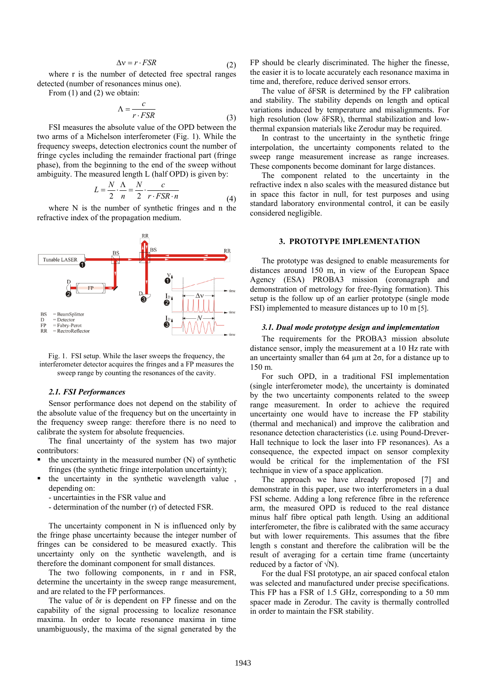$$
\Delta v = r \cdot FSR \tag{2}
$$

where r is the number of detected free spectral ranges detected (number of resonances minus one).

From (1) and (2) we obtain:

$$
\Lambda = \frac{c}{r \cdot FSR} \tag{3}
$$

FSI measures the absolute value of the OPD between the two arms of a Michelson interferometer (Fig. 1). While the frequency sweeps, detection electronics count the number of fringe cycles including the remainder fractional part (fringe phase), from the beginning to the end of the sweep without ambiguity. The measured length L (half OPD) is given by:

$$
L = \frac{N}{2} \cdot \frac{\Lambda}{n} = \frac{N}{2} \cdot \frac{c}{r \cdot FSR \cdot n}
$$
(4)

where N is the number of synthetic fringes and n the refractive index of the propagation medium.



Fig. 1. FSI setup. While the laser sweeps the frequency, the interferometer detector acquires the fringes and a FP measures the sweep range by counting the resonances of the cavity.

#### *2.1. FSI Performances*

Sensor performance does not depend on the stability of the absolute value of the frequency but on the uncertainty in the frequency sweep range: therefore there is no need to calibrate the system for absolute frequencies.

The final uncertainty of the system has two major contributors:

- $\blacksquare$  the uncertainty in the measured number (N) of synthetic fringes (the synthetic fringe interpolation uncertainty);
- $\blacksquare$  the uncertainty in the synthetic wavelength value, depending on:
	- uncertainties in the FSR value and
	- determination of the number (r) of detected FSR.

The uncertainty component in N is influenced only by the fringe phase uncertainty because the integer number of fringes can be considered to be measured exactly. This uncertainty only on the synthetic wavelength, and is therefore the dominant component for small distances.

The two following components, in r and in FSR, determine the uncertainty in the sweep range measurement, and are related to the FP performances.

The value of δr is dependent on FP finesse and on the capability of the signal processing to localize resonance maxima. In order to locate resonance maxima in time unambiguously, the maxima of the signal generated by the FP should be clearly discriminated. The higher the finesse, the easier it is to locate accurately each resonance maxima in time and, therefore, reduce derived sensor errors.

The value of δFSR is determined by the FP calibration and stability. The stability depends on length and optical variations induced by temperature and misalignments. For high resolution (low δFSR), thermal stabilization and lowthermal expansion materials like Zerodur may be required.

In contrast to the uncertainty in the synthetic fringe interpolation, the uncertainty components related to the sweep range measurement increase as range increases. These components become dominant for large distances.

The component related to the uncertainty in the refractive index n also scales with the measured distance but in space this factor in null, for test purposes and using standard laboratory environmental control, it can be easily considered negligible.

## **3. PROTOTYPE IMPLEMENTATION**

The prototype was designed to enable measurements for distances around 150 m, in view of the European Space Agency (ESA) PROBA3 mission (coronagraph and demonstration of metrology for free-flying formation). This setup is the follow up of an earlier prototype (single mode FSI) implemented to measure distances up to 10 m [5].

#### *3.1. Dual mode prototype design and implementation*

The requirements for the PROBA3 mission absolute distance sensor, imply the measurement at a 10 Hz rate with an uncertainty smaller than 64  $\mu$ m at  $2\sigma$ , for a distance up to 150 m.

For such OPD, in a traditional FSI implementation (single interferometer mode), the uncertainty is dominated by the two uncertainty components related to the sweep range measurement. In order to achieve the required uncertainty one would have to increase the FP stability (thermal and mechanical) and improve the calibration and resonance detection characteristics (i.e. using Pound-Drever-Hall technique to lock the laser into FP resonances). As a consequence, the expected impact on sensor complexity would be critical for the implementation of the FSI technique in view of a space application.

The approach we have already proposed [7] and demonstrate in this paper, use two interferometers in a dual FSI scheme. Adding a long reference fibre in the reference arm, the measured OPD is reduced to the real distance minus half fibre optical path length. Using an additional interferometer, the fibre is calibrated with the same accuracy but with lower requirements. This assumes that the fibre length s constant and therefore the calibration will be the result of averaging for a certain time frame (uncertainty reduced by a factor of  $\sqrt{N}$ ).

For the dual FSI prototype, an air spaced confocal etalon was selected and manufactured under precise specifications. This FP has a FSR of 1.5 GHz, corresponding to a 50 mm spacer made in Zerodur. The cavity is thermally controlled in order to maintain the FSR stability.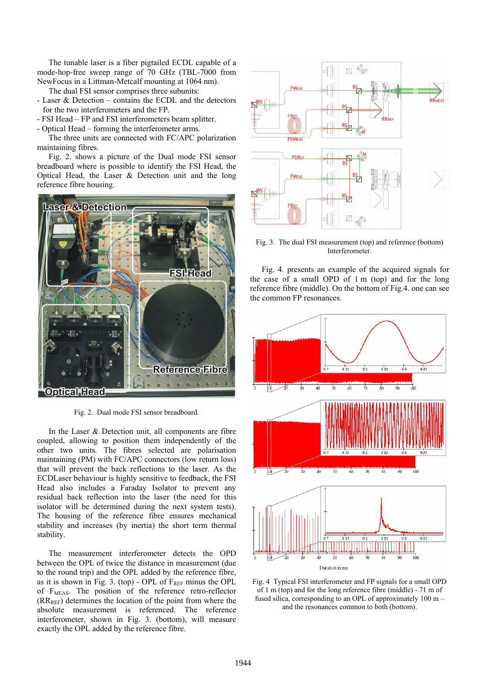The tunable laser is a fiber pigtailed ECDL capable of a mode-hop-free sweep range of 70 GHz (TBL-7000 from NewFocus in a Littman-Metcalf mounting at 1064 nm).

The dual FSI sensor comprises three subunits:

- Laser & Detection – contains the ECDL and the detectors for the two interferometers and the FP.

- FSI Head – FP and FSI interferometers beam splitter.

- Optical Head – forming the interferometer arms.

The three units are connected with FC/APC polarization maintaining fibres.

Fig. 2. shows a picture of the Dual mode FSI sensor breadboard where is possible to identify the FSI Head, the Optical Head, the Laser & Detection unit and the long reference fibre housing.



Fig. 2. Dual mode FSI sensor breadboard.

In the Laser & Detection unit, all components are fibre coupled, allowing to position them independently of the other two units. The fibres selected are polarisation maintaining (PM) with FC/APC connectors (low return loss) that will prevent the back reflections to the laser. As the ECDLaser behaviour is highly sensitive to feedback, the FSI Head also includes a Faraday Isolator to prevent any residual back reflection into the laser (the need for this isolator will be determined during the next system tests). The housing of the reference fibre ensures mechanical stability and increases (by inertia) the short term thermal stability.

The measurement interferometer detects the OPD between the OPL of twice the distance in measurement (due to the round trip) and the OPL added by the reference fibre, as it is shown in Fig. 3. (top) - OPL of  $F_{REF}$  minus the OPL of F<sub>MEAS</sub>. The position of the reference retro-reflector  $(RR_{REF})$  determines the location of the point from where the absolute measurement is referenced. The reference interferometer, shown in Fig. 3. (bottom), will measure exactly the OPL added by the reference fibre.



Fig. 3. The dual FSI measurement (top) and reference (bottom) Interferometer.

Fig. 4. presents an example of the acquired signals for the case of a small OPD of 1 m (top) and for the long reference fibre (middle). On the bottom of Fig.4. one can see the common FP resonances.



Fig. 4 Typical FSI interferometer and FP signals for a small OPD of 1 m (top) and for the long reference fibre (middle) - 71 m of fused silica, corresponding to an OPL of approximately 100 m – and the resonances common to both (bottom).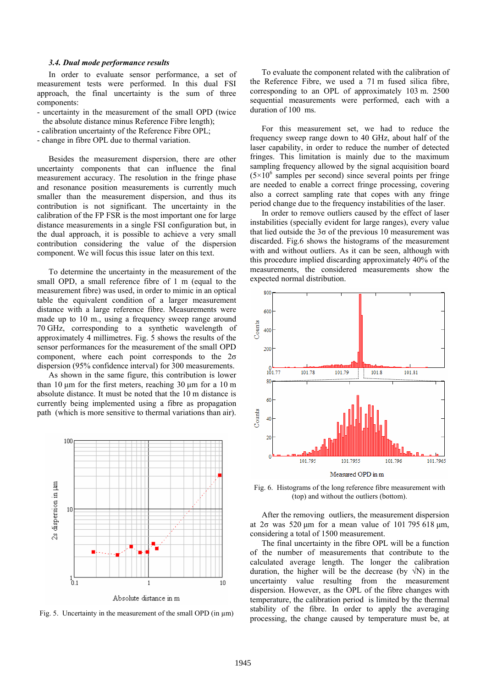#### *3.4. Dual mode performance results*

In order to evaluate sensor performance, a set of measurement tests were performed. In this dual FSI approach, the final uncertainty is the sum of three components:

- uncertainty in the measurement of the small OPD (twice the absolute distance minus Reference Fibre length);
- calibration uncertainty of the Reference Fibre OPL;
- change in fibre OPL due to thermal variation.

Besides the measurement dispersion, there are other uncertainty components that can influence the final measurement accuracy. The resolution in the fringe phase and resonance position measurements is currently much smaller than the measurement dispersion, and thus its contribution is not significant. The uncertainty in the calibration of the FP FSR is the most important one for large distance measurements in a single FSI configuration but, in the dual approach, it is possible to achieve a very small contribution considering the value of the dispersion component. We will focus this issue later on this text.

To determine the uncertainty in the measurement of the small OPD, a small reference fibre of 1 m (equal to the measurement fibre) was used, in order to mimic in an optical table the equivalent condition of a larger measurement distance with a large reference fibre. Measurements were made up to 10 m., using a frequency sweep range around 70 GHz, corresponding to a synthetic wavelength of approximately 4 millimetres. Fig. 5 shows the results of the sensor performances for the measurement of the small OPD component, where each point corresponds to the 2σ dispersion (95% confidence interval) for 300 measurements.

As shown in the same figure, this contribution is lower than 10  $\mu$ m for the first meters, reaching 30  $\mu$ m for a 10 m absolute distance. It must be noted that the 10 m distance is currently being implemented using a fibre as propagation path (which is more sensitive to thermal variations than air).



Fig. 5. Uncertainty in the measurement of the small OPD (in  $\mu$ m)

To evaluate the component related with the calibration of the Reference Fibre, we used a 71 m fused silica fibre, corresponding to an OPL of approximately 103 m. 2500 sequential measurements were performed, each with a duration of 100 ms.

For this measurement set, we had to reduce the frequency sweep range down to 40 GHz, about half of the laser capability, in order to reduce the number of detected fringes. This limitation is mainly due to the maximum sampling frequency allowed by the signal acquisition board  $(5\times10^6$  samples per second) since several points per fringe are needed to enable a correct fringe processing, covering also a correct sampling rate that copes with any fringe period change due to the frequency instabilities of the laser.

In order to remove outliers caused by the effect of laser instabilities (specially evident for large ranges), every value that lied outside the  $3\sigma$  of the previous 10 measurement was discarded. Fig.6 shows the histograms of the measurement with and without outliers. As it can be seen, although with this procedure implied discarding approximately 40% of the measurements, the considered measurements show the expected normal distribution.



Fig. 6. Histograms of the long reference fibre measurement with (top) and without the outliers (bottom).

After the removing outliers, the measurement dispersion at  $2\sigma$  was 520 um for a mean value of 101 795 618 um. considering a total of 1500 measurement.

The final uncertainty in the fibre OPL will be a function of the number of measurements that contribute to the calculated average length. The longer the calibration duration, the higher will be the decrease (by  $\sqrt{N}$ ) in the uncertainty value resulting from the measurement dispersion. However, as the OPL of the fibre changes with temperature, the calibration period is limited by the thermal stability of the fibre. In order to apply the averaging processing, the change caused by temperature must be, at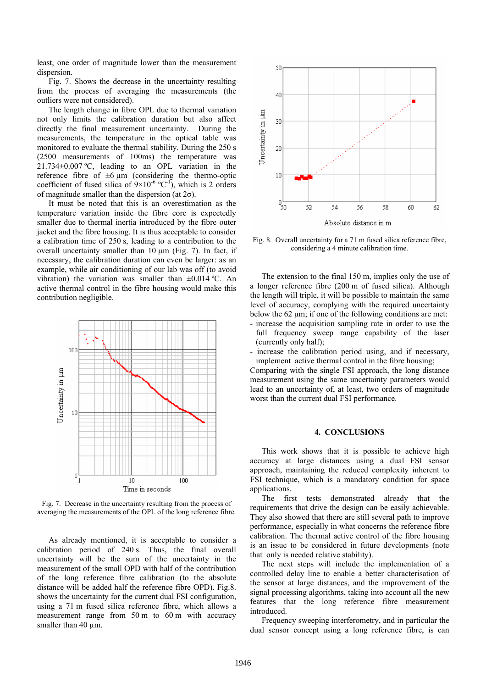least, one order of magnitude lower than the measurement dispersion.

Fig. 7. Shows the decrease in the uncertainty resulting from the process of averaging the measurements (the outliers were not considered).

The length change in fibre OPL due to thermal variation not only limits the calibration duration but also affect directly the final measurement uncertainty. During the measurements, the temperature in the optical table was monitored to evaluate the thermal stability. During the 250 s (2500 measurements of 100ms) the temperature was 21.734±0.007 ºC, leading to an OPL variation in the reference fibre of  $\pm 6 \mu m$  (considering the thermo-optic coefficient of fused silica of  $9\times10^{-6}$  °C<sup>-1</sup>), which is 2 orders of magnitude smaller than the dispersion (at  $2\sigma$ ).

It must be noted that this is an overestimation as the temperature variation inside the fibre core is expectedly smaller due to thermal inertia introduced by the fibre outer jacket and the fibre housing. It is thus acceptable to consider a calibration time of 250 s, leading to a contribution to the overall uncertainty smaller than  $10 \mu m$  (Fig. 7). In fact, if necessary, the calibration duration can even be larger: as an example, while air conditioning of our lab was off (to avoid vibration) the variation was smaller than  $\pm 0.014$  °C. An active thermal control in the fibre housing would make this contribution negligible.



Fig. 7. Decrease in the uncertainty resulting from the process of averaging the measurements of the OPL of the long reference fibre.

As already mentioned, it is acceptable to consider a calibration period of 240 s. Thus, the final overall uncertainty will be the sum of the uncertainty in the measurement of the small OPD with half of the contribution of the long reference fibre calibration (to the absolute distance will be added half the reference fibre OPD). Fig.8. shows the uncertainty for the current dual FSI configuration, using a 71 m fused silica reference fibre, which allows a measurement range from 50 m to 60 m with accuracy smaller than 40  $\mu$ m.



Fig. 8. Overall uncertainty for a 71 m fused silica reference fibre, considering a 4 minute calibration time.

The extension to the final 150 m, implies only the use of a longer reference fibre (200 m of fused silica). Although the length will triple, it will be possible to maintain the same level of accuracy, complying with the required uncertainty below the  $62 \mu m$ ; if one of the following conditions are met: - increase the acquisition sampling rate in order to use the

- full frequency sweep range capability of the laser (currently only half);
- increase the calibration period using, and if necessary, implement active thermal control in the fibre housing;

Comparing with the single FSI approach, the long distance measurement using the same uncertainty parameters would lead to an uncertainty of, at least, two orders of magnitude worst than the current dual FSI performance.

### **4. CONCLUSIONS**

This work shows that it is possible to achieve high accuracy at large distances using a dual FSI sensor approach, maintaining the reduced complexity inherent to FSI technique, which is a mandatory condition for space applications.

The first tests demonstrated already that the requirements that drive the design can be easily achievable. They also showed that there are still several path to improve performance, especially in what concerns the reference fibre calibration. The thermal active control of the fibre housing is an issue to be considered in future developments (note that only is needed relative stability).

The next steps will include the implementation of a controlled delay line to enable a better characterisation of the sensor at large distances, and the improvement of the signal processing algorithms, taking into account all the new features that the long reference fibre measurement introduced.

Frequency sweeping interferometry, and in particular the dual sensor concept using a long reference fibre, is can